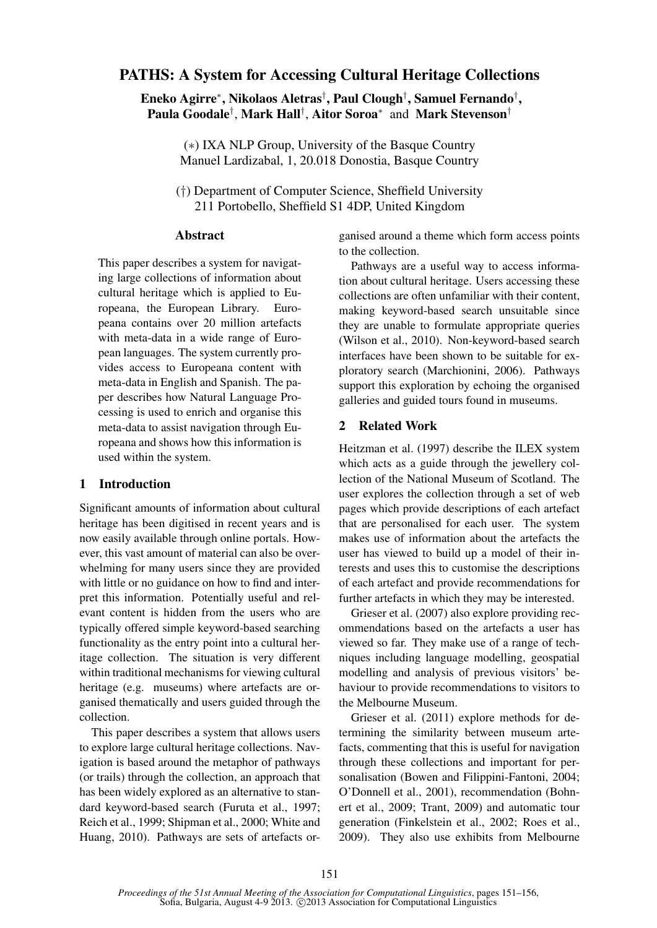# PATHS: A System for Accessing Cultural Heritage Collections

Eneko Agirre<sup>∗</sup> , Nikolaos Aletras† , Paul Clough† , Samuel Fernando† , Paula Goodale<sup>†</sup>, Mark Hall<sup>†</sup>, Aitor Soroa<sup>∗</sup> and Mark Stevenson<sup>†</sup>

(∗) IXA NLP Group, University of the Basque Country Manuel Lardizabal, 1, 20.018 Donostia, Basque Country

(†) Department of Computer Science, Sheffield University 211 Portobello, Sheffield S1 4DP, United Kingdom

### Abstract

This paper describes a system for navigating large collections of information about cultural heritage which is applied to Europeana, the European Library. Europeana contains over 20 million artefacts with meta-data in a wide range of European languages. The system currently provides access to Europeana content with meta-data in English and Spanish. The paper describes how Natural Language Processing is used to enrich and organise this meta-data to assist navigation through Europeana and shows how this information is used within the system.

## 1 Introduction

Significant amounts of information about cultural heritage has been digitised in recent years and is now easily available through online portals. However, this vast amount of material can also be overwhelming for many users since they are provided with little or no guidance on how to find and interpret this information. Potentially useful and relevant content is hidden from the users who are typically offered simple keyword-based searching functionality as the entry point into a cultural heritage collection. The situation is very different within traditional mechanisms for viewing cultural heritage (e.g. museums) where artefacts are organised thematically and users guided through the collection.

This paper describes a system that allows users to explore large cultural heritage collections. Navigation is based around the metaphor of pathways (or trails) through the collection, an approach that has been widely explored as an alternative to standard keyword-based search (Furuta et al., 1997; Reich et al., 1999; Shipman et al., 2000; White and Huang, 2010). Pathways are sets of artefacts organised around a theme which form access points to the collection.

Pathways are a useful way to access information about cultural heritage. Users accessing these collections are often unfamiliar with their content, making keyword-based search unsuitable since they are unable to formulate appropriate queries (Wilson et al., 2010). Non-keyword-based search interfaces have been shown to be suitable for exploratory search (Marchionini, 2006). Pathways support this exploration by echoing the organised galleries and guided tours found in museums.

### 2 Related Work

Heitzman et al. (1997) describe the ILEX system which acts as a guide through the jewellery collection of the National Museum of Scotland. The user explores the collection through a set of web pages which provide descriptions of each artefact that are personalised for each user. The system makes use of information about the artefacts the user has viewed to build up a model of their interests and uses this to customise the descriptions of each artefact and provide recommendations for further artefacts in which they may be interested.

Grieser et al. (2007) also explore providing recommendations based on the artefacts a user has viewed so far. They make use of a range of techniques including language modelling, geospatial modelling and analysis of previous visitors' behaviour to provide recommendations to visitors to the Melbourne Museum.

Grieser et al. (2011) explore methods for determining the similarity between museum artefacts, commenting that this is useful for navigation through these collections and important for personalisation (Bowen and Filippini-Fantoni, 2004; O'Donnell et al., 2001), recommendation (Bohnert et al., 2009; Trant, 2009) and automatic tour generation (Finkelstein et al., 2002; Roes et al., 2009). They also use exhibits from Melbourne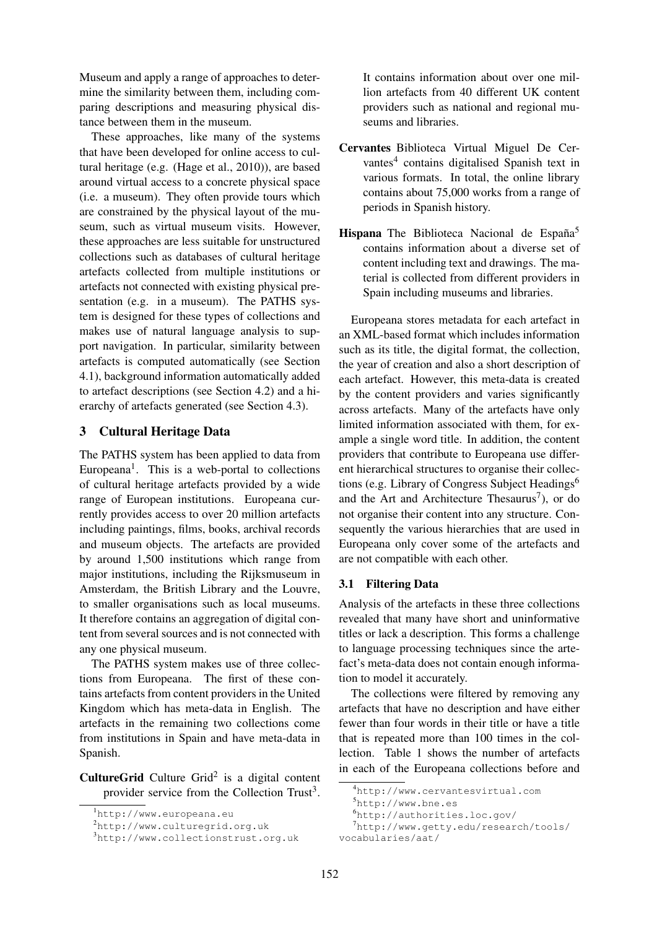Museum and apply a range of approaches to determine the similarity between them, including comparing descriptions and measuring physical distance between them in the museum.

These approaches, like many of the systems that have been developed for online access to cultural heritage (e.g. (Hage et al., 2010)), are based around virtual access to a concrete physical space (i.e. a museum). They often provide tours which are constrained by the physical layout of the museum, such as virtual museum visits. However, these approaches are less suitable for unstructured collections such as databases of cultural heritage artefacts collected from multiple institutions or artefacts not connected with existing physical presentation (e.g. in a museum). The PATHS system is designed for these types of collections and makes use of natural language analysis to support navigation. In particular, similarity between artefacts is computed automatically (see Section 4.1), background information automatically added to artefact descriptions (see Section 4.2) and a hierarchy of artefacts generated (see Section 4.3).

## 3 Cultural Heritage Data

The PATHS system has been applied to data from Europeana<sup>1</sup>. This is a web-portal to collections of cultural heritage artefacts provided by a wide range of European institutions. Europeana currently provides access to over 20 million artefacts including paintings, films, books, archival records and museum objects. The artefacts are provided by around 1,500 institutions which range from major institutions, including the Rijksmuseum in Amsterdam, the British Library and the Louvre, to smaller organisations such as local museums. It therefore contains an aggregation of digital content from several sources and is not connected with any one physical museum.

The PATHS system makes use of three collections from Europeana. The first of these contains artefacts from content providers in the United Kingdom which has meta-data in English. The artefacts in the remaining two collections come from institutions in Spain and have meta-data in Spanish.

**CultureGrid** Culture Grid<sup>2</sup> is a digital content provider service from the Collection Trust<sup>3</sup>. It contains information about over one million artefacts from 40 different UK content providers such as national and regional museums and libraries.

- Cervantes Biblioteca Virtual Miguel De Cervantes<sup>4</sup> contains digitalised Spanish text in various formats. In total, the online library contains about 75,000 works from a range of periods in Spanish history.
- Hispana The Biblioteca Nacional de España<sup>5</sup> contains information about a diverse set of content including text and drawings. The material is collected from different providers in Spain including museums and libraries.

Europeana stores metadata for each artefact in an XML-based format which includes information such as its title, the digital format, the collection, the year of creation and also a short description of each artefact. However, this meta-data is created by the content providers and varies significantly across artefacts. Many of the artefacts have only limited information associated with them, for example a single word title. In addition, the content providers that contribute to Europeana use different hierarchical structures to organise their collections (e.g. Library of Congress Subject Headings<sup>6</sup> and the Art and Architecture Thesaurus<sup>7</sup>), or do not organise their content into any structure. Consequently the various hierarchies that are used in Europeana only cover some of the artefacts and are not compatible with each other.

## 3.1 Filtering Data

Analysis of the artefacts in these three collections revealed that many have short and uninformative titles or lack a description. This forms a challenge to language processing techniques since the artefact's meta-data does not contain enough information to model it accurately.

The collections were filtered by removing any artefacts that have no description and have either fewer than four words in their title or have a title that is repeated more than 100 times in the collection. Table 1 shows the number of artefacts in each of the Europeana collections before and

<sup>1</sup>http://www.europeana.eu

<sup>2</sup>http://www.culturegrid.org.uk

<sup>3</sup>http://www.collectionstrust.org.uk

<sup>4</sup>http://www.cervantesvirtual.com

<sup>5</sup>http://www.bne.es

<sup>6</sup>http://authorities.loc.gov/

<sup>7</sup>http://www.getty.edu/research/tools/ vocabularies/aat/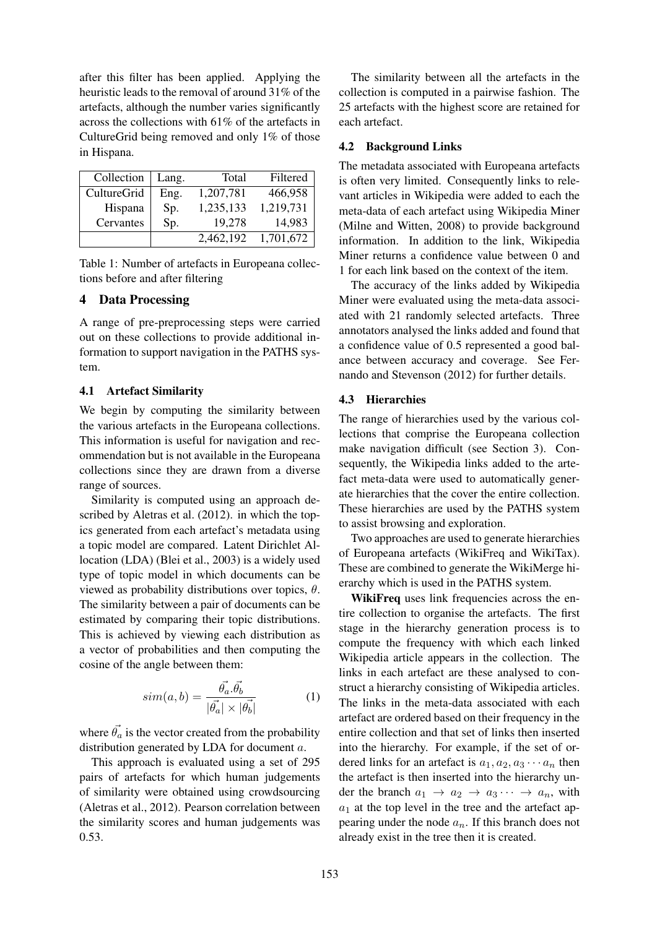after this filter has been applied. Applying the heuristic leads to the removal of around 31% of the artefacts, although the number varies significantly across the collections with 61% of the artefacts in CultureGrid being removed and only 1% of those in Hispana.

| Collection  | Lang. | Total     | Filtered  |
|-------------|-------|-----------|-----------|
| CultureGrid | Eng.  | 1,207,781 | 466,958   |
| Hispana     | Sp.   | 1,235,133 | 1,219,731 |
| Cervantes   | Sp.   | 19,278    | 14,983    |
|             |       | 2,462,192 | 1,701,672 |

Table 1: Number of artefacts in Europeana collections before and after filtering

### 4 Data Processing

A range of pre-preprocessing steps were carried out on these collections to provide additional information to support navigation in the PATHS system.

### 4.1 Artefact Similarity

We begin by computing the similarity between the various artefacts in the Europeana collections. This information is useful for navigation and recommendation but is not available in the Europeana collections since they are drawn from a diverse range of sources.

Similarity is computed using an approach described by Aletras et al. (2012). in which the topics generated from each artefact's metadata using a topic model are compared. Latent Dirichlet Allocation (LDA) (Blei et al., 2003) is a widely used type of topic model in which documents can be viewed as probability distributions over topics,  $\theta$ . The similarity between a pair of documents can be estimated by comparing their topic distributions. This is achieved by viewing each distribution as a vector of probabilities and then computing the cosine of the angle between them:

$$
sim(a,b) = \frac{\vec{\theta_a} \cdot \vec{\theta_b}}{|\vec{\theta_a}| \times |\vec{\theta_b}|}
$$
 (1)

where  $\vec{\theta_a}$  is the vector created from the probability distribution generated by LDA for document a.

This approach is evaluated using a set of 295 pairs of artefacts for which human judgements of similarity were obtained using crowdsourcing (Aletras et al., 2012). Pearson correlation between the similarity scores and human judgements was 0.53.

The similarity between all the artefacts in the collection is computed in a pairwise fashion. The 25 artefacts with the highest score are retained for each artefact.

### 4.2 Background Links

The metadata associated with Europeana artefacts is often very limited. Consequently links to relevant articles in Wikipedia were added to each the meta-data of each artefact using Wikipedia Miner (Milne and Witten, 2008) to provide background information. In addition to the link, Wikipedia Miner returns a confidence value between 0 and 1 for each link based on the context of the item.

The accuracy of the links added by Wikipedia Miner were evaluated using the meta-data associated with 21 randomly selected artefacts. Three annotators analysed the links added and found that a confidence value of 0.5 represented a good balance between accuracy and coverage. See Fernando and Stevenson (2012) for further details.

#### 4.3 Hierarchies

The range of hierarchies used by the various collections that comprise the Europeana collection make navigation difficult (see Section 3). Consequently, the Wikipedia links added to the artefact meta-data were used to automatically generate hierarchies that the cover the entire collection. These hierarchies are used by the PATHS system to assist browsing and exploration.

Two approaches are used to generate hierarchies of Europeana artefacts (WikiFreq and WikiTax). These are combined to generate the WikiMerge hierarchy which is used in the PATHS system.

WikiFreq uses link frequencies across the entire collection to organise the artefacts. The first stage in the hierarchy generation process is to compute the frequency with which each linked Wikipedia article appears in the collection. The links in each artefact are these analysed to construct a hierarchy consisting of Wikipedia articles. The links in the meta-data associated with each artefact are ordered based on their frequency in the entire collection and that set of links then inserted into the hierarchy. For example, if the set of ordered links for an artefact is  $a_1, a_2, a_3 \cdots a_n$  then the artefact is then inserted into the hierarchy under the branch  $a_1 \rightarrow a_2 \rightarrow a_3 \cdots \rightarrow a_n$ , with  $a_1$  at the top level in the tree and the artefact appearing under the node  $a_n$ . If this branch does not already exist in the tree then it is created.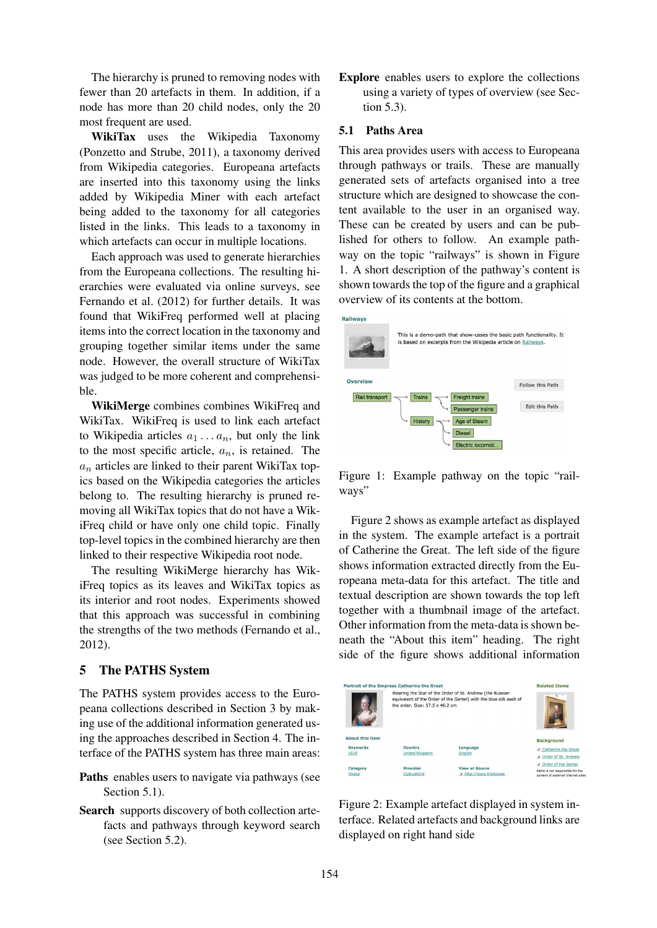The hierarchy is pruned to removing nodes with fewer than 20 artefacts in them. In addition, if a node has more than 20 child nodes, only the 20 most frequent are used.

WikiTax uses the Wikipedia Taxonomy (Ponzetto and Strube, 2011), a taxonomy derived from Wikipedia categories. Europeana artefacts are inserted into this taxonomy using the links added by Wikipedia Miner with each artefact being added to the taxonomy for all categories listed in the links. This leads to a taxonomy in which artefacts can occur in multiple locations.

Each approach was used to generate hierarchies from the Europeana collections. The resulting hierarchies were evaluated via online surveys, see Fernando et al. (2012) for further details. It was found that WikiFreq performed well at placing items into the correct location in the taxonomy and grouping together similar items under the same node. However, the overall structure of WikiTax was judged to be more coherent and comprehensible.

WikiMerge combines combines WikiFreq and WikiTax. WikiFreq is used to link each artefact to Wikipedia articles  $a_1 \ldots a_n$ , but only the link to the most specific article,  $a_n$ , is retained. The  $a_n$  articles are linked to their parent WikiTax topics based on the Wikipedia categories the articles belong to. The resulting hierarchy is pruned removing all WikiTax topics that do not have a WikiFreq child or have only one child topic. Finally top-level topics in the combined hierarchy are then linked to their respective Wikipedia root node.

The resulting WikiMerge hierarchy has WikiFreq topics as its leaves and WikiTax topics as its interior and root nodes. Experiments showed that this approach was successful in combining the strengths of the two methods (Fernando et al., 2012).

## 5 The PATHS System

The PATHS system provides access to the Europeana collections described in Section 3 by making use of the additional information generated using the approaches described in Section 4. The interface of the PATHS system has three main areas:

- Paths enables users to navigate via pathways (see Section 5.1).
- Search supports discovery of both collection artefacts and pathways through keyword search (see Section 5.2).

Explore enables users to explore the collections using a variety of types of overview (see Section 5.3).

### 5.1 Paths Area

This area provides users with access to Europeana through pathways or trails. These are manually generated sets of artefacts organised into a tree structure which are designed to showcase the content available to the user in an organised way. These can be created by users and can be published for others to follow. An example pathway on the topic "railways" is shown in Figure 1. A short description of the pathway's content is shown towards the top of the figure and a graphical overview of its contents at the bottom.



Figure 1: Example pathway on the topic "railways"

Figure 2 shows as example artefact as displayed in the system. The example artefact is a portrait of Catherine the Great. The left side of the figure shows information extracted directly from the Europeana meta-data for this artefact. The title and textual description are shown towards the top left together with a thumbnail image of the artefact. Other information from the meta-data is shown beneath the "About this item" heading. The right side of the figure shows additional information



Figure 2: Example artefact displayed in system interface. Related artefacts and background links are displayed on right hand side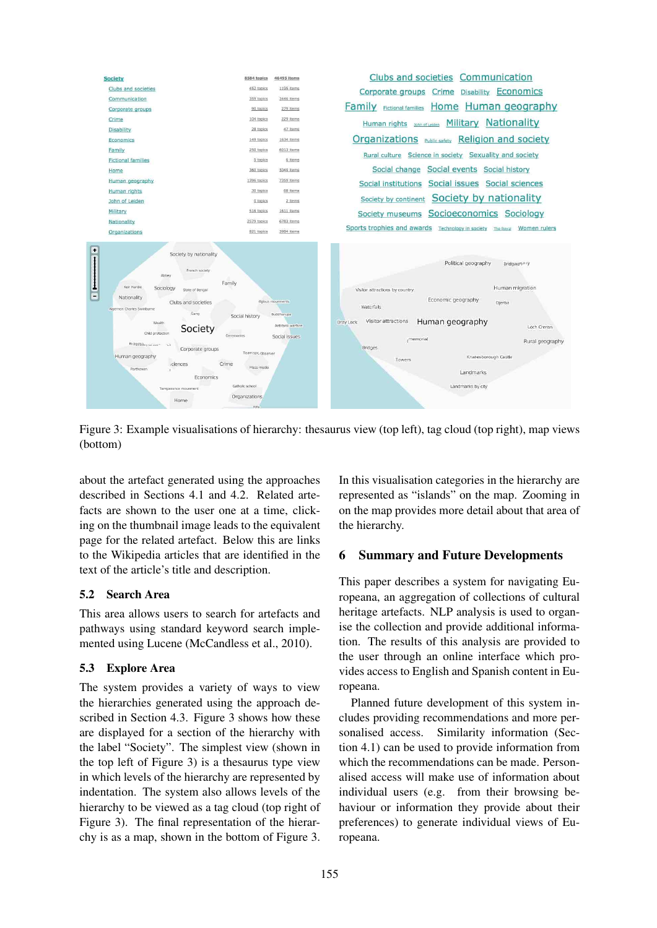

Figure 3: Example visualisations of hierarchy: thesaurus view (top left), tag cloud (top right), map views (bottom)

about the artefact generated using the approaches described in Sections 4.1 and 4.2. Related artefacts are shown to the user one at a time, clicking on the thumbnail image leads to the equivalent page for the related artefact. Below this are links to the Wikipedia articles that are identified in the text of the article's title and description.

## 5.2 Search Area

This area allows users to search for artefacts and pathways using standard keyword search implemented using Lucene (McCandless et al., 2010).

# 5.3 Explore Area

The system provides a variety of ways to view the hierarchies generated using the approach described in Section 4.3. Figure 3 shows how these are displayed for a section of the hierarchy with the label "Society". The simplest view (shown in the top left of Figure 3) is a thesaurus type view in which levels of the hierarchy are represented by indentation. The system also allows levels of the hierarchy to be viewed as a tag cloud (top right of Figure 3). The final representation of the hierarchy is as a map, shown in the bottom of Figure 3.

In this visualisation categories in the hierarchy are represented as "islands" on the map. Zooming in on the map provides more detail about that area of the hierarchy.

# 6 Summary and Future Developments

This paper describes a system for navigating Europeana, an aggregation of collections of cultural heritage artefacts. NLP analysis is used to organise the collection and provide additional information. The results of this analysis are provided to the user through an online interface which provides access to English and Spanish content in Europeana.

Planned future development of this system includes providing recommendations and more personalised access. Similarity information (Section 4.1) can be used to provide information from which the recommendations can be made. Personalised access will make use of information about individual users (e.g. from their browsing behaviour or information they provide about their preferences) to generate individual views of Europeana.